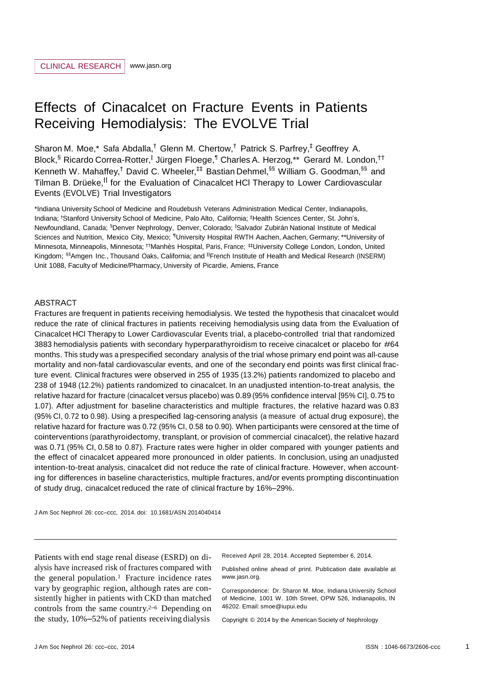# Effects of Cinacalcet on Fracture Events in Patients Receiving Hemodialysis: The EVOLVE Trial

Sharon M. Moe,\* Safa Abdalla,<sup>†</sup> Glenn M. Chertow,<sup>†</sup> Patrick S. Parfrey,<sup>‡</sup> Geoffrey A. Block,<sup>§</sup> Ricardo Correa-Rotter, Jürgen Floege,<sup>¶</sup> Charles A. Herzog,\*\* Gerard M. London,<sup>††</sup> Kenneth W. Mahaffey,<sup>†</sup> David C. Wheeler,<sup>‡‡</sup> Bastian Dehmel,<sup>§§</sup> William G. Goodman,<sup>§§</sup> and Tilman B. Drüeke, <sup>II</sup> for the Evaluation of Cinacalcet HCl Therapy to Lower Cardiovascular Events (EVOLVE) Trial Investigators

\*Indiana University School of Medicine and Roudebush Veterans Administration Medical Center, Indianapolis, Indiana; †Stanford University School of Medicine, Palo Alto, California; ‡Health Sciences Center, St. John's, Newfoundland, Canada; §Denver Nephrology, Denver, Colorado; |Salvador Zubirán National Institute of Medical Sciences and Nutrition, Mexico City, Mexico; ¶University Hospital RWTH Aachen, Aachen, Germany; \*\*University of Minnesota, Minneapolis, Minnesota; ††Manhès Hospital, Paris, France; ‡‡University College London, London, United Kingdom; §§Amgen Inc., Thousand Oaks, California; and ||French Institute of Health and Medical Research (INSERM) Unit 1088, Faculty of Medicine/Pharmacy, University of Picardie, Amiens, France

## ABSTRACT

Fractures are frequent in patients receiving hemodialysis. We tested the hypothesis that cinacalcet would reduce the rate of clinical fractures in patients receiving hemodialysis using data from the Evaluation of Cinacalcet HCl Therapy to Lower Cardiovascular Events trial, a placebo-controlled trial that randomized <sup>3883</sup> hemodialysis patients with secondary hyperparathyroidism to receive cinacalcet or placebo for #64 months. This study was a prespecified secondary analysis of the trial whose primary end point was all-cause mortality and non-fatal cardiovascular events, and one of the secondary end points was first clinical fracture event. Clinical fractures were observed in 255 of 1935 (13.2%) patients randomized to placebo and 238 of 1948 (12.2%) patients randomized to cinacalcet. In an unadjusted intention-to-treat analysis, the relative hazard for fracture (cinacalcet versus placebo) was 0.89 (95% confidence interval [95% CI], 0.75 to 1.07). After adjustment for baseline characteristics and multiple fractures, the relative hazard was 0.83 (95% CI, 0.72 to 0.98). Using a prespecified lag-censoring analysis (a measure of actual drug exposure), the relative hazard for fracture was 0.72 (95% CI, 0.58 to 0.90). When participants were censored at the time of cointerventions (parathyroidectomy, transplant, or provision of commercial cinacalcet), the relative hazard was 0.71 (95% CI, 0.58 to 0.87). Fracture rates were higher in older compared with younger patients and the effect of cinacalcet appeared more pronounced in older patients. In conclusion, using an unadjusted intention-to-treat analysis, cinacalcet did not reduce the rate of clinical fracture. However, when accounting for differences in baseline characteristics, multiple fractures, and/or events prompting discontinuation of study drug, cinacalcet reduced the rate of clinical fracture by 16%–29%.

J Am Soc Nephrol 26: ccc–ccc, 2014. doi: 10.1681/ASN.2014040414

Patients with end stage renal disease (ESRD) on dialysis have increased risk of fractures compared with the general population.<sup>1</sup> Fracture incidence rates vary by geographic region, although rates are consistently higher in patients with CKD than matched controls from the same country. <sup>2</sup>–6 Depending on the study, 10%–52% of patients receiving dialysis

Received April 28, 2014. Accepted September 6, 2014.

Published online ahead of print. Publication date available at [www.jasn.org.](http://www.jasn.org/)

Correspondence: Dr. Sharon M. Moe, Indiana University School of Medicine, 1001 W. 10th Street, OPW 526, Indianapolis, IN 46202. Email: [smoe@iupui.edu](mailto:smoe@iupui.edu)

Copyright © 2014 by the American Society of Nephrology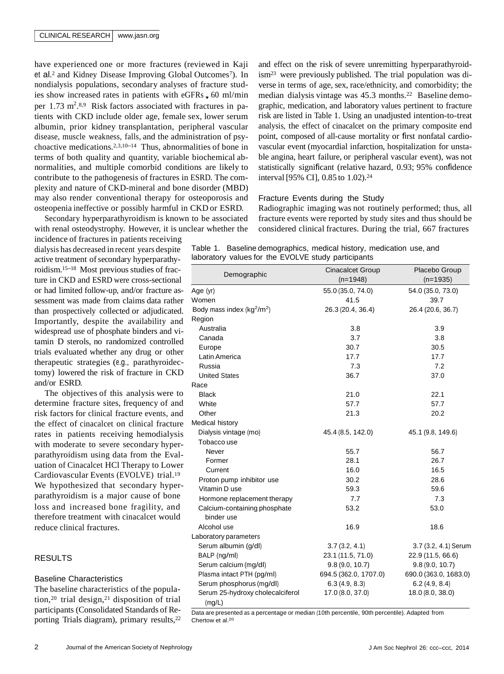have experienced one or more fractures (reviewed in Kaji et al.<sup>2</sup> and Kidney Disease Improving Global Outcomes<sup>7</sup>). In nondialysis populations, secondary analyses of fracture studies show increased rates in patients with eGFRs,  $60$  ml/min per 1.73  $m^2$ .<sup>8,9</sup> Risk factors associated with fractures in patients with CKD include older age, female sex, lower serum albumin, prior kidney transplantation, peripheral vascular disease, muscle weakness, falls, and the administration of psychoactive medications. 2,3,10–14 Thus, abnormalities of bone in terms of both quality and quantity, variable biochemical abnormalities, and multiple comorbid conditions are likely to contribute to the pathogenesis of fractures in ESRD. The complexity and nature of CKD-mineral and bone disorder (MBD) may also render conventional therapy for osteoporosis and osteopenia ineffective or possibly harmful in CKD or ESRD.

Secondary hyperparathyroidism is known to be associated with renal osteodystrophy. However, it is unclear whether the

incidence of fractures in patients receiving dialysis has decreased in recent years despite active treatment of secondary hyperparathyroidism. <sup>15</sup>–18 Most previous studies of fracture in CKD and ESRD were cross-sectional or had limited follow-up, and/or fracture assessment was made from claims data rather than prospectively collected or adjudicated. Importantly, despite the availability and widespread use of phosphate binders and vitamin D sterols, no randomized controlled trials evaluated whether any drug or other therapeutic strategies (e.g., parathyroidectomy) lowered the risk of fracture in CKD and/or ESRD.

The objectives of this analysis were to determine fracture sites, frequency of and risk factors for clinical fracture events, and the effect of cinacalcet on clinical fracture rates in patients receiving hemodialysis with moderate to severe secondary hyperparathyroidism using data from the Evaluation of Cinacalcet HCl Therapy to Lower Cardiovascular Events (EVOLVE) trial.<sup>19</sup> We hypothesized that secondary hyperparathyroidism is a major cause of bone loss and increased bone fragility, and therefore treatment with cinacalcet would reduce clinical fractures.

# RESULTS

# Baseline Characteristics

The baseline characteristics of the population,<sup>20</sup> trial design,<sup>21</sup> disposition of trial participants (Consolidated Standards of Reporting Trials diagram), primary results, 22

and effect on the risk of severe unremitting hyperparathyroidism23 were previously published. The trial population was diverse in terms of age, sex, race/ethnicity, and comorbidity; the median dialysis vintage was 45.3 months.<sup>22</sup> Baseline demographic, medication, and laboratory values pertinent to fracture risk are listed in Table 1. Using an unadjusted intention-to-treat analysis, the effect of cinacalcet on the primary composite end point, composed of all-cause mortality or first nonfatal cardiovascular event (myocardial infarction, hospitalization for unstable angina, heart failure, or peripheral vascular event), was not statistically significant (relative hazard, 0.93; 95% confidence interval [95% CI], 0.85 to 1.02). 24

# Fracture Events during the Study

Radiographic imaging was not routinely performed; thus, all fracture events were reported by study sites and thus should be considered clinical fractures. During the trial, 667 fractures

| Table 1. Baseline demographics, medical history, medication use, and |  |  |
|----------------------------------------------------------------------|--|--|
| laboratory values for the EVOLVE study participants                  |  |  |

| Demographic                                | <b>Cinacalcet Group</b><br>$(n=1948)$ | Placebo Group<br>$(n=1935)$ |  |
|--------------------------------------------|---------------------------------------|-----------------------------|--|
| Age (yr)                                   | 55.0 (35.0, 74.0)                     | 54.0 (35.0, 73.0)           |  |
| Women                                      | 41.5                                  | 39.7                        |  |
| Body mass index $(kg^2/m^2)$               | 26.3 (20.4, 36.4)                     | 26.4 (20.6, 36.7)           |  |
| Region                                     |                                       |                             |  |
| Australia                                  | 3.8                                   | 3.9                         |  |
| Canada                                     | 3.7                                   | 3.8                         |  |
| Europe                                     | 30.7                                  | 30.5                        |  |
| Latin America                              | 17.7                                  | 17.7                        |  |
| Russia                                     | 7.3                                   | 7.2                         |  |
| <b>United States</b>                       | 36.7                                  | 37.0                        |  |
| Race                                       |                                       |                             |  |
| <b>Black</b>                               | 21.0                                  | 22.1                        |  |
| White                                      | 57.7                                  | 57.7                        |  |
| Other                                      | 21.3                                  | 20.2                        |  |
| Medical history                            |                                       |                             |  |
| Dialysis vintage (mo)                      | 45.4 (8.5, 142.0)                     | 45.1 (9.8, 149.6)           |  |
| Tobacco use                                |                                       |                             |  |
| Never                                      | 55.7                                  | 56.7                        |  |
| Former                                     | 28.1                                  | 26.7                        |  |
| Current                                    | 16.0                                  | 16.5                        |  |
| Proton pump inhibitor use                  | 30.2                                  | 28.6                        |  |
| Vitamin D use                              | 59.3                                  | 59.6                        |  |
| Hormone replacement therapy                | 7.7                                   | 7.3                         |  |
| Calcium-containing phosphate<br>binder use | 53.2                                  | 53.0                        |  |
| Alcohol use                                | 16.9                                  | 18.6                        |  |
| Laboratory parameters                      |                                       |                             |  |
| Serum albumin (g/dl)                       | 3.7(3.2, 4.1)                         | 3.7 (3.2, 4.1) Serum        |  |
| BALP (ng/ml)                               | 23.1 (11.5, 71.0)                     | 22.9 (11.5, 66.6)           |  |
| Serum calcium (mg/dl)                      | 9.8(9.0, 10.7)                        | 9.8(9.0, 10.7)              |  |
| Plasma intact PTH (pg/ml)                  | 694.5 (362.0, 1707.0)                 | 690.0 (363.0, 1683.0)       |  |
| Serum phosphorus (mg/dl)                   | 6.3(4.9, 8.3)                         | 6.2(4.9, 8.4)               |  |
| Serum 25-hydroxy cholecalciferol<br>(mq/L) | 17.0(8.0, 37.0)                       | 18.0(8.0, 38.0)             |  |

Data are presented as a percentage or median (10th percentile, 90th percentile). Adapted from Chertow et al. 20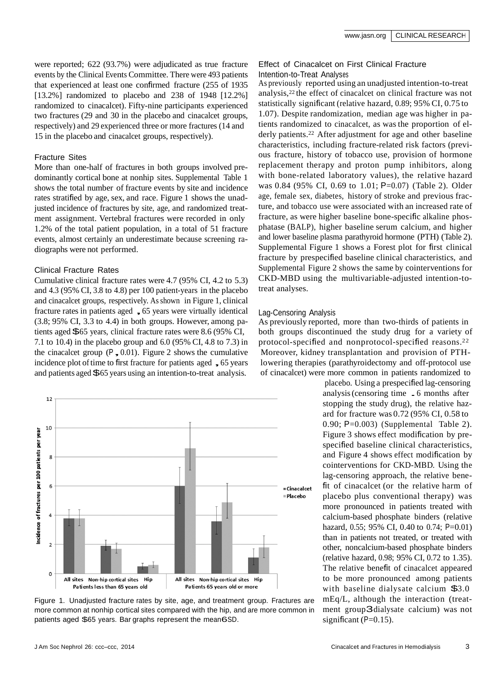were reported; 622 (93.7%) were adjudicated as true fracture events by the Clinical Events Committee. There were 493 patients that experienced at least one confirmed fracture (255 of 1935 [13.2%] randomized to placebo and 238 of 1948 [12.2%] randomized to cinacalcet). Fifty-nine participants experienced two fractures (29 and 30 in the placebo and cinacalcet groups, respectively) and 29 experienced three or more fractures (14 and 15 in the placebo and cinacalcet groups, respectively).

# Fracture Sites

More than one-half of fractures in both groups involved predominantly cortical bone at nonhip sites. [Supplemental](http://jasn.asnjournals.org/lookup/suppl/doi%3A10.1681/ASN.2014040414/-/DCSupplemental) Table 1 shows the total number of fracture events by site and incidence rates stratified by age, sex, and race. Figure 1 shows the unadjusted incidence of fractures by site, age, and randomized treatment assignment. Vertebral fractures were recorded in only 1.2% of the total patient population, in a total of 51 fracture events, almost certainly an underestimate because screening radiographs were not performed.

# Clinical Fracture Rates

Cumulative clinical fracture rates were 4.7 (95% CI, 4.2 to 5.3) and 4.3 (95% CI, 3.8 to 4.8) per 100 patient-years in the placebo and cinacalcet groups, respectively. As shown in Figure 1, clinical fracture rates in patients aged ,<sup>65</sup> years were virtually identical (3.8; 95% CI, 3.3 to 4.4) in both groups. However, among patients aged \$<sup>65</sup> years, clinical fracture rates were 8.6 (95% CI, 7.1 to 10.4) in the placebo group and 6.0 (95% CI, 4.8 to 7.3) in the cinacalcet group ( $P_2$  0.01). Figure 2 shows the cumulative the cinacalcet group ( $P_0$ , 0.01). Figure 2 shows the cumulative incidence plot of time to first fracture for patients aged  $\sim$  65 years and patients aged \$<sup>65</sup> years using an intention-to-treat analysis.



Figure 1. Unadjusted fracture rates by site, age, and treatment group. Fractures are more common at nonhip cortical sites compared with the hip, and are more common in patients aged \$65 years. Bar graphs represent the mean6SD.

# Effect of Cinacalcet on First Clinical Fracture Intention-to-Treat Analyses

As previously reported using an unadjusted intention-to-treat analysis,<sup>22</sup> the effect of cinacalcet on clinical fracture was not statistically significant (relative hazard, 0.89; 95% CI, 0.75 to 1.07). Despite randomization, median age was higher in patients randomized to cinacalcet, as was the proportion of elderly patients. <sup>22</sup> After adjustment for age and other baseline characteristics, including fracture-related risk factors (previous fracture, history of tobacco use, provision of hormone replacement therapy and proton pump inhibitors, along with bone-related laboratory values), the relative hazard was 0.84 (95% CI, 0.69 to 1.01; P=0.07) (Table 2). Older age, female sex, diabetes, history of stroke and previous fracture, and tobacco use were associated with an increased rate of fracture, as were higher baseline bone-specific alkaline phosphatase (BALP), higher baseline serum calcium, and higher and lower baseline plasma parathyroid hormone (PTH) (Table 2). [Supplemental](http://jasn.asnjournals.org/lookup/suppl/doi%3A10.1681/ASN.2014040414/-/DCSupplemental) Figure 1 shows a Forest plot for first clinical fracture by prespecified baseline clinical characteristics, and [Supplemental](http://jasn.asnjournals.org/lookup/suppl/doi%3A10.1681/ASN.2014040414/-/DCSupplemental) Figure 2 shows the same by cointerventions for CKD-MBD using the multivariable-adjusted intention-totreat analyses.

# Lag-Censoring Analysis

As previously reported, more than two-thirds of patients in both groups discontinued the study drug for a variety of protocol-specified and nonprotocol-specified reasons. 22 Moreover, kidney transplantation and provision of PTHlowering therapies (parathyroidectomy and off-protocol use of cinacalcet) were more common in patients randomized to

placebo. Using a prespecified lag-censoring analysis(censoring time .<sup>6</sup> months after stopping the study drug), the relative hazard for fracture was 0.72 (95% CI, 0.58 to 0.90; P=0.003) [\(Supplemental Table](http://jasn.asnjournals.org/lookup/suppl/doi%3A10.1681/ASN.2014040414/-/DCSupplemental) 2). Figure 3 shows effect modification by prespecified baseline clinical characteristics, and Figure 4 shows effect modification by cointerventions for CKD-MBD. Using the lag-censoring approach, the relative benefit of cinacalcet (or the relative harm of placebo plus conventional therapy) was more pronounced in patients treated with calcium-based phosphate binders (relative hazard, 0.55; 95% CI, 0.40 to 0.74; P=0.01) than in patients not treated, or treated with other, noncalcium-based phosphate binders (relative hazard, 0.98; 95% CI, 0.72 to 1.35). The relative benefit of cinacalcet appeared to be more pronounced among patients with baseline dialysate calcium \$3.0 mEq/L, although the interaction (treatment group3dialysate calcium) was not significant  $(P=0.15)$ .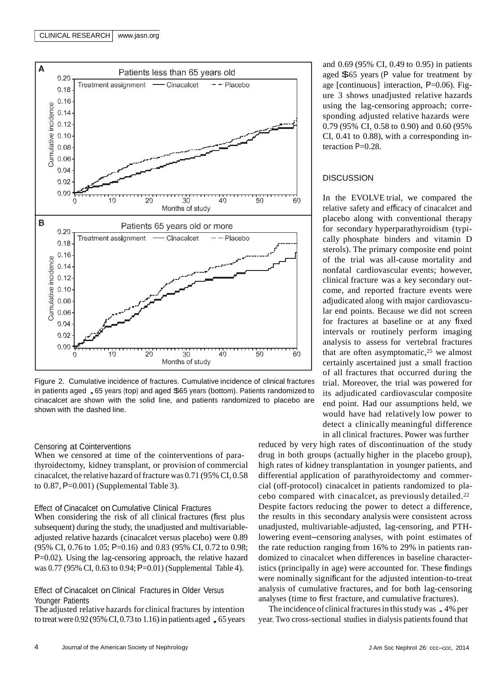

Figure 2. Cumulative incidence of fractures. Cumulative incidence of clinical fractures<br>in patients aged , 65 years (top) and aged \$65 years (bottom). Patients randomized to cinacalcet are shown with the solid line, and patients randomized to placebo are shown with the dashed line.

## Censoring at Cointerventions

When we censored at time of the cointerventions of parathyroidectomy, kidney transplant, or provision of commercial cinacalcet, the relative hazard of fracture was 0.71 (95% CI, 0.58 to  $0.87$ ,  $P=0.001$ ) [\(Supplemental](http://jasn.asnjournals.org/lookup/suppl/doi%3A10.1681/ASN.2014040414/-/DCSupplemental) Table 3).

#### Effect of Cinacalcet on Cumulative Clinical Fractures

When considering the risk of all clinical fractures (first plus subsequent) during the study, the unadjusted and multivariableadjusted relative hazards (cinacalcet versus placebo) were 0.89 (95% CI, 0.76 to 1.05; P=0.16) and 0.83 (95% CI, 0.72 to 0.98; P=0.02). Using the lag-censoring approach, the relative hazard was 0.77 (95% CI, 0.63 to 0.94; P=0.01) [\(Supplemental](http://jasn.asnjournals.org/lookup/suppl/doi%3A10.1681/ASN.2014040414/-/DCSupplemental) Table 4).

# Effect of Cinacalcet on Clinical Fractures in Older Versus Younger Patients

The adjusted relative hazards for clinical fractures by intention<br>to treat were 0.92 (95% CI, 0.73 to 1.16) in patients aged , 65 years

and 0.69 (95% CI, 0.49 to 0.95) in patients aged \$<sup>65</sup> years (<sup>P</sup> value for treatment by age [continuous] interaction, P=0.06). Figure 3 shows unadjusted relative hazards using the lag-censoring approach; corresponding adjusted relative hazards were 0.79 (95% CI, 0.58 to 0.90) and 0.60 (95% CI, 0.41 to 0.88), with a corresponding interaction P=0.28.

# **DISCUSSION**

In the EVOLVE trial, we compared the relative safety and efficacy of cinacalcet and placebo along with conventional therapy for secondary hyperparathyroidism (typically phosphate binders and vitamin D sterols). The primary composite end point of the trial was all-cause mortality and nonfatal cardiovascular events; however, clinical fracture was a key secondary outcome, and reported fracture events were adjudicated along with major cardiovascular end points. Because we did not screen for fractures at baseline or at any fixed intervals or routinely perform imaging analysis to assess for vertebral fractures that are often asymptomatic, $25$  we almost certainly ascertained just a small fraction of all fractures that occurred during the trial. Moreover, the trial was powered for its adjudicated cardiovascular composite end point. Had our assumptions held, we would have had relatively low power to detect a clinically meaningful difference in all clinical fractures. Power was further

reduced by very high rates of discontinuation of the study drug in both groups (actually higher in the placebo group), high rates of kidney transplantation in younger patients, and differential application of parathyroidectomy and commercial (off-protocol) cinacalcet in patients randomized to placebo compared with cinacalcet, as previously detailed. 22 Despite factors reducing the power to detect a difference, the results in this secondary analysis were consistent across unadjusted, multivariable-adjusted, lag-censoring, and PTHlowering event–censoring analyses, with point estimates of the rate reduction ranging from 16% to 29% in patients randomized to cinacalcet when differences in baseline characteristics (principally in age) were accounted for. These findings were nominally significant for the adjusted intention-to-treat analysis of cumulative fractures, and for both lag-censoring analyses (time to first fracture, and cumulative fractures).

The incidence of clinical fractures in this study was 4% per year. Two cross-sectional studies in dialysis patientsfound that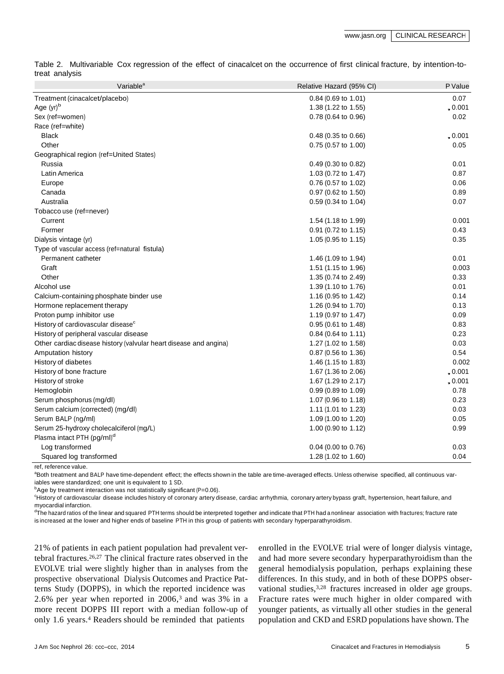Table 2. Multivariable Cox regression of the effect of cinacalcet on the occurrence of first clinical fracture, by intention-totreat analysis

| 0.07<br>Treatment (cinacalcet/placebo)<br>0.84 (0.69 to 1.01)<br>Age $(yr)^b$<br>, 0.001<br>1.38 (1.22 to 1.55)<br>Sex (ref=women)<br>0.78 (0.64 to 0.96)<br>0.02 |
|-------------------------------------------------------------------------------------------------------------------------------------------------------------------|
|                                                                                                                                                                   |
|                                                                                                                                                                   |
|                                                                                                                                                                   |
| Race (ref=white)                                                                                                                                                  |
| <b>Black</b><br>$0.48(0.35 \text{ to } 0.66)$<br>, 0.001                                                                                                          |
| Other<br>0.75 (0.57 to 1.00)<br>0.05                                                                                                                              |
| Geographical region (ref=United States)                                                                                                                           |
| Russia<br>0.49 (0.30 to 0.82)<br>0.01                                                                                                                             |
| 0.87<br>Latin America<br>1.03 (0.72 to 1.47)                                                                                                                      |
| 0.76 (0.57 to 1.02)<br>0.06<br>Europe                                                                                                                             |
| 0.89<br>Canada<br>0.97 (0.62 to 1.50)                                                                                                                             |
| Australia<br>0.07<br>0.59 (0.34 to 1.04)                                                                                                                          |
| Tobacco use (ref=never)                                                                                                                                           |
| 0.001<br>Current<br>1.54 (1.18 to 1.99)                                                                                                                           |
| Former<br>0.91 (0.72 to 1.15)<br>0.43                                                                                                                             |
| Dialysis vintage (yr)<br>1.05 (0.95 to 1.15)<br>0.35                                                                                                              |
| Type of vascular access (ref=natural fistula)                                                                                                                     |
| 0.01<br>Permanent catheter<br>1.46 $(1.09 \text{ to } 1.94)$                                                                                                      |
| Graft<br>1.51 (1.15 to 1.96)<br>0.003                                                                                                                             |
| Other<br>1.35 (0.74 to 2.49)<br>0.33                                                                                                                              |
| Alcohol use<br>1.39 (1.10 to 1.76)<br>0.01                                                                                                                        |
| 0.14<br>Calcium-containing phosphate binder use<br>1.16 (0.95 to 1.42)                                                                                            |
| Hormone replacement therapy<br>1.26 (0.94 to 1.70)<br>0.13                                                                                                        |
| 0.09<br>Proton pump inhibitor use<br>1.19 (0.97 to 1.47)                                                                                                          |
| 0.83<br>History of cardiovascular disease <sup>c</sup><br>0.95 (0.61 to 1.48)                                                                                     |
| History of peripheral vascular disease<br>0.84 (0.64 to 1.11)<br>0.23                                                                                             |
| Other cardiac disease history (valvular heart disease and angina)<br>1.27 (1.02 to 1.58)<br>0.03                                                                  |
| Amputation history<br>0.87 (0.56 to 1.36)<br>0.54                                                                                                                 |
| History of diabetes<br>0.002<br>1.46 (1.15 to 1.83)                                                                                                               |
| History of bone fracture<br>1.67 (1.36 to 2.06)<br>, 0.001                                                                                                        |
| History of stroke<br>1.67 (1.29 to 2.17)<br>, 0.001                                                                                                               |
| Hemoglobin<br>0.99 (0.89 to 1.09)<br>0.78                                                                                                                         |
| Serum phosphorus (mg/dl)<br>1.07 (0.96 to 1.18)<br>0.23                                                                                                           |
| Serum calcium (corrected) (mg/dl)<br>0.03<br>1.11 (1.01 to 1.23)                                                                                                  |
| Serum BALP (ng/ml)<br>0.05<br>1.09 (1.00 to 1.20)                                                                                                                 |
| Serum 25-hydroxy cholecalciferol (mg/L)<br>0.99<br>1.00 (0.90 to 1.12)                                                                                            |
| Plasma intact PTH (pg/ml) <sup>d</sup>                                                                                                                            |
| Log transformed<br>0.04 (0.00 to 0.76)<br>0.03                                                                                                                    |
| 0.04<br>Squared log transformed<br>1.28 (1.02 to 1.60)<br>a formal de la característica de la característica                                                      |

ref, reference value.

aBoth treatment and BALP have time-dependent effect; the effects shown in the table are time-averaged effects. Unless otherwise specified, all continuous variables were standardized; one unit is equivalent to 1 SD.

 $b$ Age by treatment interaction was not statistically significant (P=0.06).

<sup>c</sup>History of cardiovascular disease includes history of coronary artery disease, cardiac arrhythmia, coronary artery bypass graft, hypertension, heart failure, and myocardial infarction.

 $<sup>d</sup>$ The hazard ratios of the linear and squared PTH terms should be interpreted together and indicate that PTH had a nonlinear association with fractures; fracture rate</sup> is increased at the lower and higher ends of baseline PTH in this group of patients with secondary hyperparathyroidism.

21% of patients in each patient population had prevalent vertebral fractures. 26,27 The clinical fracture rates observed in the EVOLVE trial were slightly higher than in analyses from the prospective observational Dialysis Outcomes and Practice Patterns Study (DOPPS), in which the reported incidence was 2.6% per year when reported in 2006, <sup>3</sup> and was 3% in a more recent DOPPS III report with a median follow-up of only 1.6 years. <sup>4</sup> Readers should be reminded that patients

enrolled in the EVOLVE trial were of longer dialysis vintage, and had more severe secondary hyperparathyroidism than the general hemodialysis population, perhaps explaining these differences. In this study, and in both of these DOPPS observational studies, 3,28 fractures increased in older age groups. Fracture rates were much higher in older compared with younger patients, as virtually all other studies in the general population and CKD and ESRD populations have shown. The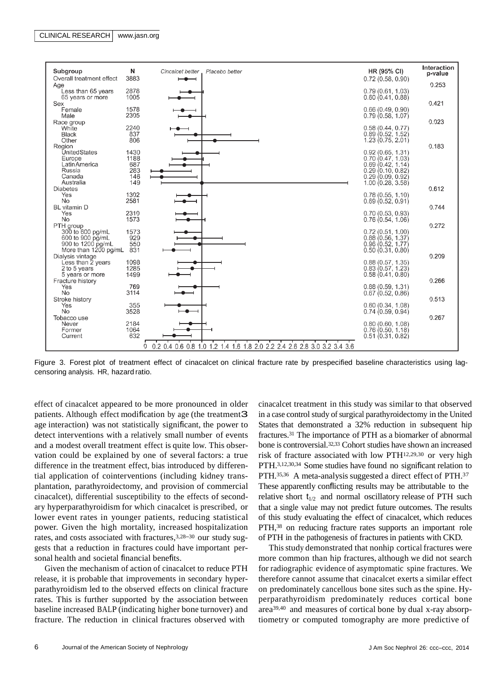

Figure 3. Forest plot of treatment effect of cinacalcet on clinical fracture rate by prespecified baseline characteristics using lagcensoring analysis. HR, hazard ratio.

effect of cinacalcet appeared to be more pronounced in older patients. Although effect modification by age (the treatment3 age interaction) was not statistically significant, the power to detect interventions with a relatively small number of events and a modest overall treatment effect is quite low. This observation could be explained by one of several factors: a true difference in the treatment effect, bias introduced by differential application of cointerventions (including kidney transplantation, parathyroidectomy, and provision of commercial cinacalcet), differential susceptibility to the effects of secondary hyperparathyroidism for which cinacalcet is prescribed, or lower event rates in younger patients, reducing statistical power. Given the high mortality, increased hospitalization rates, and costs associated with fractures, 3,28–<sup>30</sup> our study suggests that a reduction in fractures could have important personal health and societal financial benefits.

Given the mechanism of action of cinacalcet to reduce PTH release, it is probable that improvements in secondary hyperparathyroidism led to the observed effects on clinical fracture rates. This is further supported by the association between baseline increased BALP (indicating higher bone turnover) and fracture. The reduction in clinical fractures observed with

cinacalcet treatment in this study was similar to that observed in a case control study of surgical parathyroidectomy in the United States that demonstrated a 32% reduction in subsequent hip fractures.<sup>31</sup> The importance of PTH as a biomarker of abnormal bone is controversial.32,33 Cohort studies have shown an increased risk of fracture associated with low PTH12,29,30 or very high PTH. 3,12,30,34 Some studies have found no significant relation to PTH.<sup>35,36</sup> A meta-analysis suggested a direct effect of PTH.<sup>37</sup> These apparently conflicting results may be attributable to the relative short  $t_{1/2}$  and normal oscillatory release of PTH such that a single value may not predict future outcomes. The results of this study evaluating the effect of cinacalcet, which reduces PTH,<sup>38</sup> on reducing fracture rates supports an important role of PTH in the pathogenesis of fracturesin patients with CKD.

This study demonstrated that nonhip cortical fractures were more common than hip fractures, although we did not search for radiographic evidence of asymptomatic spine fractures. We therefore cannot assume that cinacalcet exerts a similar effect on predominately cancellous bone sites such as the spine. Hyperparathyroidism predominately reduces cortical bone area 39,40 and measures of cortical bone by dual x-ray absorptiometry or computed tomography are more predictive of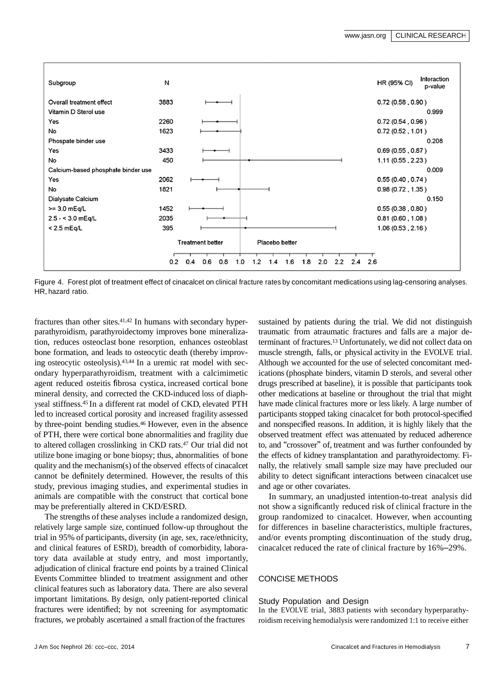

Figure 4. Forest plot of treatment effect of cinacalcet on clinical fracture rates by concomitant medications using lag-censoring analyses. HR, hazard ratio.

fractures than other sites. 41,42 In humans with secondary hyperparathyroidism, parathyroidectomy improves bone mineralization, reduces osteoclast bone resorption, enhances osteoblast bone formation, and leads to osteocytic death (thereby improving osteocytic osteolysis). 43,44 In a uremic rat model with secondary hyperparathyroidism, treatment with a calcimimetic agent reduced osteitis fibrosa cystica, increased cortical bone mineral density, and corrected the CKD-induced loss of diaphyseal stiffness. 45 In a different rat model of CKD, elevated PTH led to increased cortical porosity and increased fragility assessed by three-point bending studies. <sup>46</sup> However, even in the absence of PTH, there were cortical bone abnormalities and fragility due to altered collagen crosslinking in CKD rats. <sup>47</sup> Our trial did not utilize bone imaging or bone biopsy; thus, abnormalities of bone quality and the mechanism(s) of the observed effects of cinacalcet cannot be definitely determined. However, the results of this study, previous imaging studies, and experimental studies in animals are compatible with the construct that cortical bone may be preferentially altered in CKD/ESRD.

The strengths of these analyses include a randomized design, relatively large sample size, continued follow-up throughout the trial in 95% of participants, diversity (in age, sex, race/ethnicity, and clinical features of ESRD), breadth of comorbidity, laboratory data available at study entry, and most importantly, adjudication of clinical fracture end points by a trained Clinical Events Committee blinded to treatment assignment and other clinical features such as laboratory data. There are also several important limitations. By design, only patient-reported clinical fractures were identified; by not screening for asymptomatic fractures, we probably ascertained a small fraction of the fractures

sustained by patients during the trial. We did not distinguish traumatic from atraumatic fractures and falls are a major determinant of fractures. <sup>13</sup> Unfortunately, we did not collect data on muscle strength, falls, or physical activity in the EVOLVE trial. Although we accounted for the use of selected concomitant medications (phosphate binders, vitamin D sterols, and several other drugs prescribed at baseline), it is possible that participants took other medications at baseline or throughout the trial that might have made clinical fractures more or less likely. A large number of participants stopped taking cinacalcet for both protocol-specified and nonspecified reasons. In addition, it is highly likely that the observed treatment effect was attenuated by reduced adherence to, and "crossover" of, treatment and was further confounded by the effects of kidney transplantation and parathyroidectomy. Finally, the relatively small sample size may have precluded our ability to detect significant interactions between cinacalcet use and age or other covariates.

In summary, an unadjusted intention-to-treat analysis did not show a significantly reduced risk of clinical fracture in the group randomized to cinacalcet. However, when accounting for differences in baseline characteristics, multiple fractures, and/or events prompting discontinuation of the study drug, cinacalcet reduced the rate of clinical fracture by 16%–29%.

# CONCISE METHODS

Study Population and Design

In the EVOLVE trial, 3883 patients with secondary hyperparathyroidism receiving hemodialysis were randomized 1:1 to receive either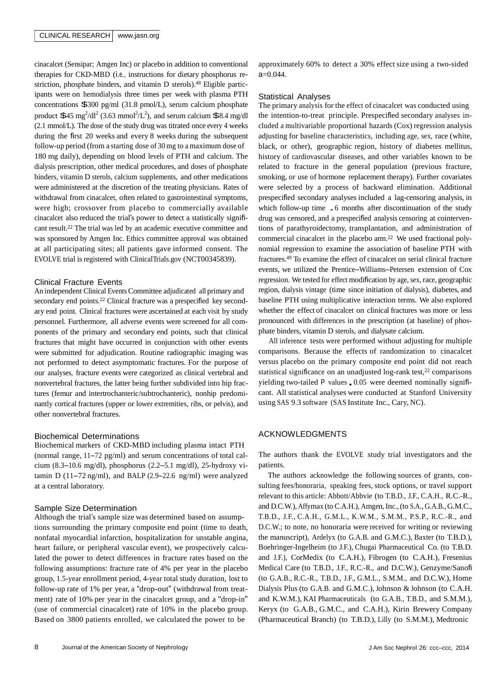## CLINICAL RESEARCH | [www.jasn.org](http://www.jasn.org/)

cinacalcet (Sensipar; Amgen Inc) or placebo in addition to conventional therapies for CKD-MBD (i.e., instructions for dietary phosphorus restriction, phosphate binders, and vitamin D sterols). <sup>48</sup> Eligible participants were on hemodialysis three times per week with plasma PTH concentrations \$<sup>300</sup> pg/ml (31.8 pmol/L), serum calcium phosphate product  $$45 \text{ mg}^2/\text{dl}^2$  (3.63 mmol<sup>2</sup>/L<sup>2</sup>), and serum calcium  $$8.4 \text{ mg}/\text{dl}$ (2.1 mmol/L). The dose of the study drug was titrated once every 4 weeks during the first 20 weeks and every 8 weeks during the subsequent follow-up period (from a starting dose of 30 mg to a maximum dose of 180 mg daily), depending on blood levels of PTH and calcium. The dialysis prescription, other medical procedures, and doses of phosphate binders, vitamin D sterols, calcium supplements, and other medications were administered at the discretion of the treating physicians. Rates of withdrawal from cinacalcet, often related to gastrointestinal symptoms, were high; crossover from placebo to commercially available cinacalcet also reduced the trial's power to detect a statistically significant result. <sup>22</sup> The trial was led by an academic executive committee and was sponsored by Amgen Inc. Ethics committee approval was obtained at all participating sites; all patients gave informed consent. The EVOLVE trial is registered with ClinicalTrials.gov (NCT00345839).

#### Clinical Fracture Events

An independent Clinical EventsCommittee adjudicated all primary and secondary end points.<sup>22</sup> Clinical fracture was a prespecified key secondary end point. Clinical fractures were ascertained at each visit by study personnel. Furthermore, all adverse events were screened for all components of the primary and secondary end points, such that clinical fractures that might have occurred in conjunction with other events were submitted for adjudication. Routine radiographic imaging was not performed to detect asymptomatic fractures. For the purpose of our analyses, fracture events were categorized as clinical vertebral and nonvertebral fractures, the latter being further subdivided into hip fractures (femur and intertrochanteric/subtrochanteric), nonhip predominantly cortical fractures (upper or lower extremities, ribs, or pelvis), and other nonvertebral fractures.

# Biochemical Determinations

Biochemical markers of CKD-MBD including plasma intact PTH (normal range, 11–72 pg/ml) and serum concentrations of total calcium (8.3–10.6 mg/dl), phosphorus (2.2–5.1 mg/dl), 25-hydroxy vitamin D  $(11-72 \text{ ng/ml})$ , and BALP  $(2.9-22.6 \text{ ng/ml})$  were analyzed at a central laboratory.

#### Sample Size Determination

Although the trial's sample size was determined based on assumptions surrounding the primary composite end point (time to death, nonfatal myocardial infarction, hospitalization for unstable angina, heart failure, or peripheral vascular event), we prospectively calculated the power to detect differences in fracture rates based on the following assumptions: fracture rate of 4% per year in the placebo group, 1.5-year enrollment period, 4-year total study duration, lost to follow-up rate of 1% per year, a "drop-out" (withdrawal from treatment) rate of 10% per year in the cinacalcet group, and a "drop-in" (use of commercial cinacalcet) rate of 10% in the placebo group. Based on 3800 patients enrolled, we calculated the power to be

approximately 60% to detect a 30% effect size using a two-sided a=0.044.

#### Statistical Analyses

The primary analysis for the effect of cinacalcet was conducted using the intention-to-treat principle. Prespecified secondary analyses included a multivariable proportional hazards (Cox) regression analysis adjusting for baseline characteristics, including age, sex, race (white, black, or other), geographic region, history of diabetes mellitus, history of cardiovascular diseases, and other variables known to be related to fracture in the general population (previous fracture, smoking, or use of hormone replacement therapy). Further covariates were selected by a process of backward elimination. Additional prespecified secondary analyses included a lag-censoring analysis, in which follow-up time .<sup>6</sup> months after discontinuation of the study drug was censored, and a prespecified analysis censoring at cointerventions of parathyroidectomy, transplantation, and administration of commercial cinacalcet in the placebo arm.<sup>22</sup> We used fractional polynomial regression to examine the association of baseline PTH with fractures.<sup>49</sup> To examine the effect of cinacalcet on serial clinical fracture events, we utilized the Prentice–Williams–Petersen extension of Cox regression. We tested for effect modification by age, sex, race, geographic region, dialysis vintage (time since initiation of dialysis), diabetes, and baseline PTH using multiplicative interaction terms. We also explored whether the effect of cinacalcet on clinical fractures was more or less pronounced with differences in the prescription (at baseline) of phosphate binders, vitamin D sterols, and dialysate calcium.

All inference tests were performed without adjusting for multiple comparisons. Because the effects of randomization to cinacalcet versus placebo on the primary composite end point did not reach statistical significance on an unadjusted log-rank test,<sup>22</sup> comparisons yielding two-tailed P values, 0.05 were deemed nominally significant. All statistical analyses were conducted at Stanford University using SAS 9.3 software (SAS Institute Inc., Cary, NC).

#### ACKNOWLEDGMENTS

The authors thank the EVOLVE study trial investigators and the patients.

The authors acknowledge the following sources of grants, consulting fees/honoraria, speaking fees, stock options, or travel support relevant to this article: Abbott/Abbvie (to T.B.D., J.F., C.A.H., R.C.-R., and D.C.W.), Affymax (to C.A.H.), Amgen, Inc., (to S.A., G.A.B., G.M.C., T.B.D., J.F., C.A.H., G.M.L., K.W.M., S.M.M., P.S.P., R.C.-R., and D.C.W.; to note, no honoraria were received for writing or reviewing the manuscript), Ardelyx (to G.A.B. and G.M.C.), Baxter (to T.B.D.), Boehringer-Ingelheim (to J.F.), Chugai Pharmaceutical Co. (to T.B.D. and J.F.), CorMedix (to C.A.H.), Fibrogen (to C.A.H.), Fresenius Medical Care (to T.B.D., J.F., R.C.-R., and D.C.W.), Genzyme/Sanofi (to G.A.B., R.C.-R., T.B.D., J.F., G.M.L., S.M.M., and D.C.W.), Home Dialysis Plus (to G.A.B. and G.M.C.), Johnson & Johnson (to C.A.H. and K.W.M.), KAI Pharmaceuticals (to G.A.B., T.B.D., and S.M.M.), Keryx (to G.A.B., G.M.C., and C.A.H.), Kirin Brewery Company (Pharmaceutical Branch) (to T.B.D.), Lilly (to S.M.M.), Medtronic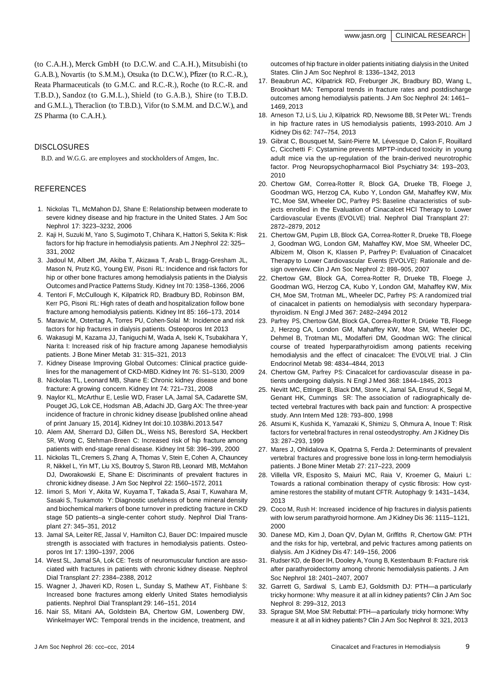(to C.A.H.), Merck GmbH (to D.C.W. and C.A.H.), Mitsubishi (to G.A.B.), Novartis (to S.M.M.), Otsuka (to D.C.W.), Pfizer (to R.C.-R.), Reata Pharmaceuticals (to G.M.C. and R.C.-R.), Roche (to R.C.-R. and T.B.D.), Sandoz (to G.M.L.), Shield (to G.A.B.), Shire (to T.B.D. and G.M.L.), Theraclion (to T.B.D.), Vifor (to S.M.M. and D.C.W.), and ZS Pharma (to C.A.H.).

## DISCLOSURES

B.D. and W.G.G. are employees and stockholders of Amgen, Inc.

# **REFERENCES**

- 1. Nickolas TL, McMahon DJ, Shane E: Relationship between moderate to severe kidney disease and hip fracture in the United States. J Am Soc Nephrol 17: 3223–3232, 2006
- 2. Kaji H, Suzuki M, Yano S, Sugimoto T, Chihara K, Hattori S, Sekita K: Risk factors for hip fracture in hemodialysis patients. Am J Nephrol 22: 325– 331, 2002
- 3. Jadoul M, Albert JM, Akiba T, Akizawa T, Arab L, Bragg-Gresham JL, Mason N, Prutz KG, Young EW, Pisoni RL: Incidence and risk factors for hip or other bone fractures among hemodialysis patients in the Dialysis Outcomes and Practice Patterns Study. Kidney Int 70: 1358–1366, 2006
- 4. Tentori F, McCullough K, Kilpatrick RD, Bradbury BD, Robinson BM, Kerr PG, Pisoni RL: High rates of death and hospitalization follow bone fracture among hemodialysis patients. Kidney Int 85: 166–173, 2014
- 5. Maravic M, Ostertag A, Torres PU, Cohen-Solal M: Incidence and risk factors for hip fractures in dialysis patients. Osteoporos Int 2013
- 6. Wakasugi M, Kazama JJ, Taniguchi M, Wada A, Iseki K, Tsubakihara Y, Narita I: Increased risk of hip fracture among Japanese hemodialysis patients. J Bone Miner Metab 31: 315–321, 2013
- 7. Kidney Disease Improving Global Outcomes: Clinical practice guidelines for the management of CKD-MBD. Kidney Int 76: S1–S130, 2009
- 8. Nickolas TL, Leonard MB, Shane E: Chronic kidney disease and bone fracture: A growing concern. Kidney Int 74: 721–731, 2008
- 9. Naylor KL, McArthur E, Leslie WD, Fraser LA, Jamal SA, Cadarette SM, Pouget JG, Lok CE, Hodsman AB, Adachi JD, Garg AX: The three-year incidence of fracture in chronic kidney disease [published online ahead of print January 15, 2014]. Kidney Int doi:10.1038/ki.2013.547
- 10. Alem AM, Sherrard DJ, Gillen DL, Weiss NS, Beresford SA, Heckbert SR, Wong C, Stehman-Breen C: Increased risk of hip fracture among patients with end-stage renal disease. Kidney Int 58: 396–399, 2000
- 11. Nickolas TL, Cremers S, Zhang A, Thomas V, Stein E, Cohen A, Chauncey R, Nikkel L, Yin MT, Liu XS, Boutroy S, Staron RB, Leonard MB, McMahon DJ, Dworakowski E, Shane E: Discriminants of prevalent fractures in chronic kidney disease. J Am Soc Nephrol 22: 1560–1572, 2011
- 12. Iimori S, Mori Y, Akita W, Kuyama T, Takada S, Asai T, Kuwahara M, Sasaki S, Tsukamoto Y: Diagnostic usefulness of bone mineral density and biochemical markers of bone turnover in predicting fracture in CKD stage 5D patients–a single-center cohort study. Nephrol Dial Transplant 27: 345–351, 2012
- 13. Jamal SA, Leiter RE, Jassal V, Hamilton CJ, Bauer DC: Impaired muscle strength is associated with fractures in hemodialysis patients. Osteoporos Int 17: 1390–1397, 2006
- 14. West SL, Jamal SA, Lok CE: Tests of neuromuscular function are associated with fractures in patients with chronic kidney disease. Nephrol Dial Transplant 27: 2384–2388, 2012
- 15. Wagner J, Jhaveri KD, Rosen L, Sunday S, Mathew AT, Fishbane S: Increased bone fractures among elderly United States hemodialysis patients. Nephrol Dial Transplant 29: 146–151, 2014
- 16. Nair SS, Mitani AA, Goldstein BA, Chertow GM, Lowenberg DW, Winkelmayer WC: Temporal trends in the incidence, treatment, and

outcomes of hip fracture in older patients initiating dialysis in the United States. Clin J Am Soc Nephrol 8: 1336–1342, 2013

- 17. Beaubrun AC, Kilpatrick RD, Freburger JK, Bradbury BD, Wang L, Brookhart MA: Temporal trends in fracture rates and postdischarge outcomes among hemodialysis patients. J Am Soc Nephrol 24: 1461– 1469, 2013
- 18. Arneson TJ, Li S, Liu J, Kilpatrick RD, Newsome BB, St Peter WL: Trends in hip fracture rates in US hemodialysis patients, 1993-2010. Am J Kidney Dis 62: 747–754, 2013
- 19. Gibrat C, Bousquet M, Saint-Pierre M, Lévesque D, Calon F, Rouillard C, Cicchetti F: Cystamine prevents MPTP-induced toxicity in young adult mice via the up-regulation of the brain-derived neurotrophic factor. Prog Neuropsychopharmacol Biol Psychiatry 34: 193–203, 2010
- 20. Chertow GM, Correa-Rotter R, Block GA, Drueke TB, Floege J, Goodman WG, Herzog CA, Kubo Y, London GM, Mahaffey KW, Mix TC, Moe SM, Wheeler DC, Parfrey PS: Baseline characteristics of subjects enrolled in the Evaluation of Cinacalcet HCl Therapy to Lower Cardiovascular Events (EVOLVE) trial. Nephrol Dial Transplant 27: 2872–2879, 2012
- 21. Chertow GM, Pupim LB, Block GA, Correa-Rotter R, Drueke TB, Floege J, Goodman WG, London GM, Mahaffey KW, Moe SM, Wheeler DC, Albizem M, Olson K, Klassen P, Parfrey P: Evaluation of Cinacalcet Therapy to Lower Cardiovascular Events (EVOLVE): Rationale and design overview. Clin J Am Soc Nephrol 2: 898–905, 2007
- 22. Chertow GM, Block GA, Correa-Rotter R, Drueke TB, Floege J, Goodman WG, Herzog CA, Kubo Y, London GM, Mahaffey KW, Mix CH, Moe SM, Trotman ML, Wheeler DC, Parfrey PS: A randomized trial of cinacalcet in patients on hemodialysis with secondary hyperparathyroidism. N Engl J Med 367: 2482–2494 2012
- 23. Parfrey PS, Chertow GM, Block GA, Correa-Rotter R, Drüeke TB, Floege J, Herzog CA, London GM, Mahaffey KW, Moe SM, Wheeler DC, Dehmel B, Trotman ML, Modafferi DM, Goodman WG: The clinical course of treated hyperparathyroidism among patients receiving hemodialysis and the effect of cinacalcet: The EVOLVE trial. J Clin Endocrinol Metab 98: 4834–4844, 2013
- 24. Chertow GM, Parfrey PS: Cinacalcet for cardiovascular disease in patients undergoing dialysis. N Engl J Med 368: 1844–1845, 2013
- 25. Nevitt MC, Ettinger B, Black DM, Stone K, Jamal SA, Ensrud K, Segal M, Genant HK, Cummings SR: The association of radiographically detected vertebral fractures with back pain and function: A prospective study. Ann Intern Med 128: 793–800, 1998
- 26. Atsumi K, Kushida K, Yamazaki K, Shimizu S, Ohmura A, Inoue T: Risk factors for vertebral fractures in renal osteodystrophy. Am J Kidney Dis 33: 287–293, 1999
- 27. Mares J, Ohlidalova K, Opatrna S, Ferda J: Determinants of prevalent vertebral fractures and progressive bone loss in long-term hemodialysis patients. J Bone Miner Metab 27: 217–223, 2009
- 28. Villella VR, Esposito S, Maiuri MC, Raia V, Kroemer G, Maiuri L: Towards a rational combination therapy of cystic fibrosis: How cystamine restores the stability of mutant CFTR. Autophagy 9: 1431–1434, 2013
- 29. Coco M, Rush H: Increased incidence of hip fractures in dialysis patients with low serum parathyroid hormone. Am J Kidney Dis 36: 1115–1121, 2000
- 30. Danese MD, Kim J, Doan QV, Dylan M, Griffiths R, Chertow GM: PTH and the risks for hip, vertebral, and pelvic fractures among patients on dialysis. Am J Kidney Dis 47: 149–156, 2006
- 31. Rudser KD, de Boer IH, Dooley A,Young B, Kestenbaum B: Fracture risk after parathyroidectomy among chronic hemodialysis patients. J Am Soc Nephrol 18: 2401–2407, 2007
- 32. Garrett G, Sardiwal S, Lamb EJ, Goldsmith DJ: PTH—a particularly tricky hormone: Why measure it at all in kidney patients? Clin J Am Soc Nephrol 8: 299–312, 2013
- 33. Sprague SM, Moe SM: Rebuttal: PTH—a particularly tricky hormone:Why measure it at all in kidney patients? Clin J Am Soc Nephrol 8: 321, 2013